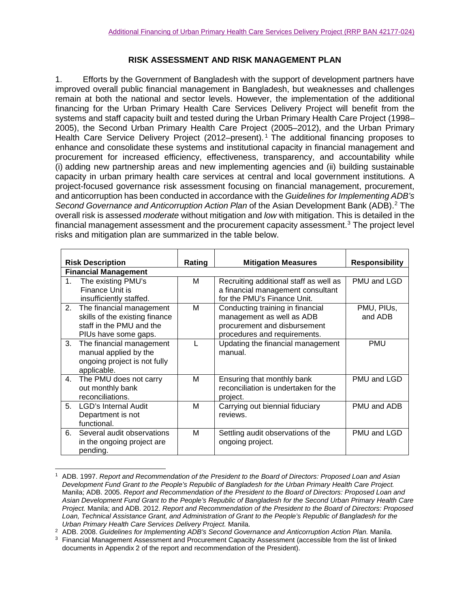## **RISK ASSESSMENT AND RISK MANAGEMENT PLAN**

1. Efforts by the Government of Bangladesh with the support of development partners have improved overall public financial management in Bangladesh, but weaknesses and challenges remain at both the national and sector levels. However, the implementation of the additional financing for the Urban Primary Health Care Services Delivery Project will benefit from the systems and staff capacity built and tested during the Urban Primary Health Care Project (1998– 2005), the Second Urban Primary Health Care Project (2005–2012), and the Urban Primary Health Care Service Delivery Project (20[1](#page-0-0)2–present).<sup>1</sup> The additional financing proposes to enhance and consolidate these systems and institutional capacity in financial management and procurement for increased efficiency, effectiveness, transparency, and accountability while (i) adding new partnership areas and new implementing agencies and (ii) building sustainable capacity in urban primary health care services at central and local government institutions. A project-focused governance risk assessment focusing on financial management, procurement, and anticorruption has been conducted in accordance with the *Guidelines for Implementing ADB's Second Governance and Anticorruption Action Plan* of the Asian Development Bank (ADB). [2](#page-0-1) The overall risk is assessed *moderate* without mitigation and *low* with mitigation. This is detailed in the financial management assessment and the procurement capacity assessment.<sup>[3](#page-0-2)</sup> The project level risks and mitigation plan are summarized in the table below.

| <b>Risk Description</b>     |                                                                                                                | Rating | <b>Mitigation Measures</b>                                                                                                    | <b>Responsibility</b> |  |  |
|-----------------------------|----------------------------------------------------------------------------------------------------------------|--------|-------------------------------------------------------------------------------------------------------------------------------|-----------------------|--|--|
| <b>Financial Management</b> |                                                                                                                |        |                                                                                                                               |                       |  |  |
| $1_{\cdot}$                 | The existing PMU's<br>Finance Unit is<br>insufficiently staffed.                                               | м      | Recruiting additional staff as well as<br>a financial management consultant<br>for the PMU's Finance Unit.                    | PMU and LGD           |  |  |
| 2.                          | The financial management<br>skills of the existing finance<br>staff in the PMU and the<br>PIUs have some gaps. | м      | Conducting training in financial<br>management as well as ADB<br>procurement and disbursement<br>procedures and requirements. | PMU, PIUS,<br>and ADB |  |  |
| 3.                          | The financial management<br>manual applied by the<br>ongoing project is not fully<br>applicable.               | L      | Updating the financial management<br>manual.                                                                                  | <b>PMU</b>            |  |  |
| 4.                          | The PMU does not carry<br>out monthly bank<br>reconciliations.                                                 | M      | Ensuring that monthly bank<br>reconciliation is undertaken for the<br>project.                                                | PMU and LGD           |  |  |
| 5 <sub>1</sub>              | LGD's Internal Audit<br>Department is not<br>functional.                                                       | M      | Carrying out biennial fiduciary<br>reviews.                                                                                   | PMU and ADB           |  |  |
| 6.                          | Several audit observations<br>in the ongoing project are<br>pending.                                           | м      | Settling audit observations of the<br>ongoing project.                                                                        | PMU and LGD           |  |  |

<span id="page-0-0"></span> <sup>1</sup> ADB. 1997. *Report and Recommendation of the President to the Board of Directors: Proposed Loan and Asian Development Fund Grant to the People's Republic of Bangladesh for the Urban Primary Health Care Project.*  Manila; ADB. 2005. *Report and Recommendation of the President to the Board of Directors: Proposed Loan and Asian Development Fund Grant to the People's Republic of Bangladesh for the Second Urban Primary Health Care Project.* Manila; and ADB. 2012. *Report and Recommendation of the President to the Board of Directors: Proposed Loan, Technical Assistance Grant, and Administration of Grant to the People's Republic of Bangladesh for the Urban Primary Health Care Services Delivery Project.* Manila.

<span id="page-0-1"></span><sup>2</sup> ADB. 2008. *Guidelines for Implementing ADB's Second Governance and Anticorruption Action Plan.* Manila.

<span id="page-0-2"></span><sup>&</sup>lt;sup>3</sup> Financial Management Assessment and Procurement Capacity Assessment (accessible from the list of linked documents in Appendix 2 of the report and recommendation of the President).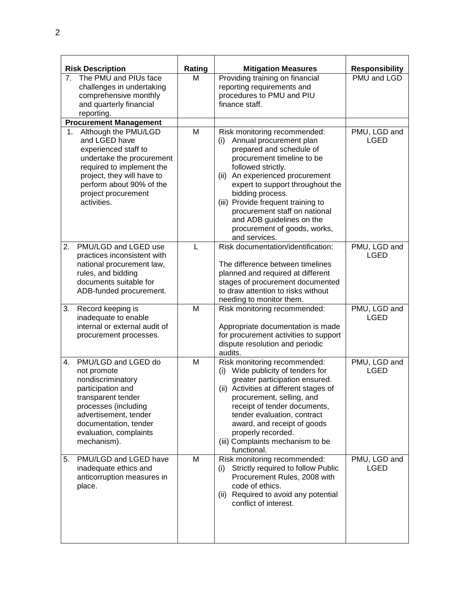|    | <b>Risk Description</b>                                                                                                                                                                                                 | Rating       | <b>Mitigation Measures</b>                                                                                                                                                                                                                                                                                                                                                                        | <b>Responsibility</b>       |
|----|-------------------------------------------------------------------------------------------------------------------------------------------------------------------------------------------------------------------------|--------------|---------------------------------------------------------------------------------------------------------------------------------------------------------------------------------------------------------------------------------------------------------------------------------------------------------------------------------------------------------------------------------------------------|-----------------------------|
|    | 7. The PMU and PIUs face<br>challenges in undertaking<br>comprehensive monthly<br>and quarterly financial<br>reporting.                                                                                                 | М            | Providing training on financial<br>reporting requirements and<br>procedures to PMU and PIU<br>finance staff.                                                                                                                                                                                                                                                                                      | PMU and LGD                 |
|    | <b>Procurement Management</b>                                                                                                                                                                                           |              |                                                                                                                                                                                                                                                                                                                                                                                                   |                             |
| 1. | Although the PMU/LGD<br>and LGED have<br>experienced staff to<br>undertake the procurement<br>required to implement the<br>project, they will have to<br>perform about 90% of the<br>project procurement<br>activities. | M            | Risk monitoring recommended:<br>Annual procurement plan<br>(i)<br>prepared and schedule of<br>procurement timeline to be<br>followed strictly.<br>An experienced procurement<br>(ii)<br>expert to support throughout the<br>bidding process.<br>(iii) Provide frequent training to<br>procurement staff on national<br>and ADB guidelines on the<br>procurement of goods, works,<br>and services. | PMU, LGD and<br><b>LGED</b> |
| 2. | PMU/LGD and LGED use<br>practices inconsistent with<br>national procurement law,<br>rules, and bidding<br>documents suitable for<br>ADB-funded procurement.                                                             | $\mathsf{L}$ | Risk documentation/identification:<br>The difference between timelines<br>planned and required at different<br>stages of procurement documented<br>to draw attention to risks without<br>needing to monitor them.                                                                                                                                                                                 | PMU, LGD and<br><b>LGED</b> |
| 3. | Record keeping is<br>inadequate to enable<br>internal or external audit of<br>procurement processes.                                                                                                                    | M            | Risk monitoring recommended:<br>Appropriate documentation is made<br>for procurement activities to support<br>dispute resolution and periodic<br>audits.                                                                                                                                                                                                                                          | PMU, LGD and<br><b>LGED</b> |
| 4. | PMU/LGD and LGED do<br>not promote<br>nondiscriminatory<br>participation and<br>transparent tender<br>processes (including<br>advertisement, tender<br>documentation, tender<br>evaluation, complaints<br>mechanism).   | M            | Risk monitoring recommended:<br>(i) Wide publicity of tenders for<br>greater participation ensured.<br>(ii) Activities at different stages of<br>procurement, selling, and<br>receipt of tender documents,<br>tender evaluation, contract<br>award, and receipt of goods<br>properly recorded.<br>(iii) Complaints mechanism to be<br>functional.                                                 | PMU, LGD and<br><b>LGED</b> |
| 5. | PMU/LGD and LGED have<br>inadequate ethics and<br>anticorruption measures in<br>place.                                                                                                                                  | M            | Risk monitoring recommended:<br>Strictly required to follow Public<br>(i)<br>Procurement Rules, 2008 with<br>code of ethics.<br>(ii) Required to avoid any potential<br>conflict of interest.                                                                                                                                                                                                     | PMU, LGD and<br>LGED        |